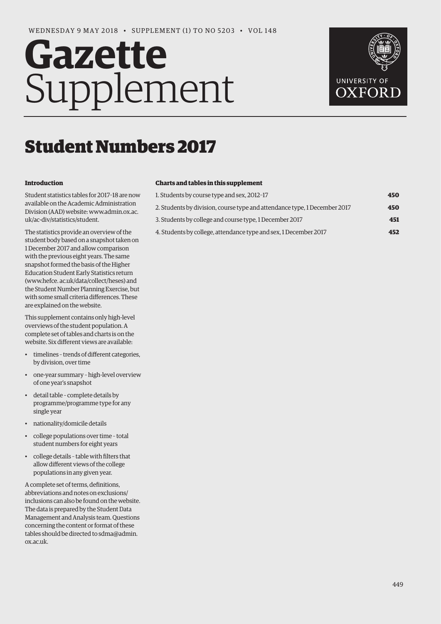# **Gazette** Supplement



## Student Numbers 2017

#### **Introduction**

Student statistics tables for 2017–18 are now available on the Academic Administration Division (AAD) website: [www.admin.ox.ac.](http://www.admin.ox.ac)  uk/ac-div/statistics/student.

The statistics provide an overview of the student body based on a snapshot taken on 1 December 2017 and allow comparison with the previous eight years. The same snapshot formed the basis of the Higher Education Student Early Statistics return [\(www.hefce. ac.uk/data/collect/heses\) an](http://www.hefce.ac.uk/data/collect/heses)d the Student Number Planning Exercise, but with some small criteria differences. These are explained on the website.

This supplement contains only high-level overviews of the student population. A complete set of tables and charts is on the website. Six different views are available:

- timelines trends of different categories, by division, over time
- one-year summary high-level overview of one year's snapshot
- detail table complete details by programme/programme type for any single year
- nationality/domicile details
- college populations over time total student numbers for eight years
- college details table with filters that allow different views of the college populations in any given year.

A complete set of terms, definitions, abbreviations and notes on exclusions/ inclusions can also be found on the website. The data is prepared by the Student Data Management and Analysis team. Questions concerning the content or format of these tables should be directed to sdma@admin. ox.ac.uk.

#### **Charts and tables in this supplement**

| 1. Students by course type and sex, 2012-17                               | 450 |
|---------------------------------------------------------------------------|-----|
| 2. Students by division, course type and attendance type, 1 December 2017 | 450 |
| 3. Students by college and course type, 1 December 2017                   | 451 |
| 4. Students by college, attendance type and sex, 1 December 2017          | 452 |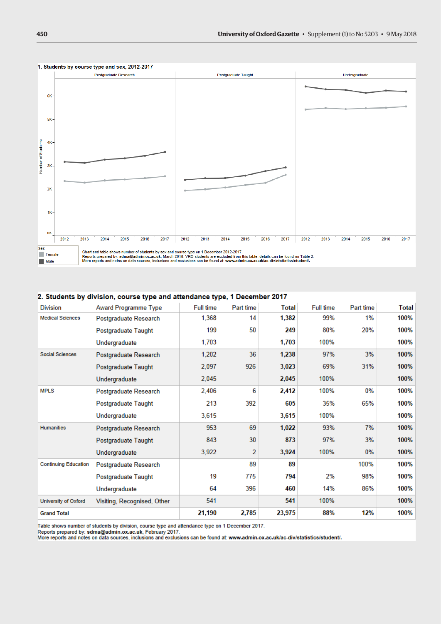

#### 2. Students by division, course type and attendance type, 1 December 2017

| <b>Division</b>             | Award Programme Type        | <b>Full time</b> | Part time | <b>Total</b> | Full time | Part time | Total |
|-----------------------------|-----------------------------|------------------|-----------|--------------|-----------|-----------|-------|
| <b>Medical Sciences</b>     | Postgraduate Research       | 1,368            | 14        | 1,382        | 99%       | 1%        | 100%  |
|                             | Postgraduate Taught         | 199              | 50        | 249          | 80%       | 20%       | 100%  |
|                             | Undergraduate               | 1,703            |           | 1,703        | 100%      |           | 100%  |
| <b>Social Sciences</b>      | Postgraduate Research       | 1,202            | 36        | 1,238        | 97%       | 3%        | 100%  |
|                             | Postgraduate Taught         | 2,097            | 926       | 3,023        | 69%       | 31%       | 100%  |
|                             | Undergraduate               | 2,045            |           | 2,045        | 100%      |           | 100%  |
| <b>MPLS</b>                 | Postgraduate Research       | 2,406            | 6         | 2,412        | 100%      | 0%        | 100%  |
|                             | Postgraduate Taught         | 213              | 392       | 605          | 35%       | 65%       | 100%  |
|                             | Undergraduate               | 3,615            |           | 3,615        | 100%      |           | 100%  |
| <b>Humanities</b>           | Postgraduate Research       | 953              | 69        | 1,022        | 93%       | 7%        | 100%  |
|                             | Postgraduate Taught         | 843              | 30        | 873          | 97%       | 3%        | 100%  |
|                             | Undergraduate               | 3,922            | 2         | 3,924        | 100%      | $0\%$     | 100%  |
| <b>Continuing Education</b> | Postgraduate Research       |                  | 89        | 89           |           | 100%      | 100%  |
|                             | Postgraduate Taught         | 19               | 775       | 794          | 2%        | 98%       | 100%  |
|                             | Undergraduate               | 64               | 396       | 460          | 14%       | 86%       | 100%  |
| University of Oxford        | Visiting, Recognised, Other | 541              |           | 541          | 100%      |           | 100%  |
| <b>Grand Total</b>          |                             | 21,190           | 2,785     | 23,975       | 88%       | 12%       | 100%  |

Table shows number of students by division, course type and attendance type on 1 December 2017.

Reports prepared by: sdma@admin.ox.ac.uk, February 2017.<br>More reports prepared by: sdma@admin.ox.ac.uk, February 2017.<br>More reports and notes on data sources, inclusions and exclusions can be found at: www.admin.ox.ac.uk/a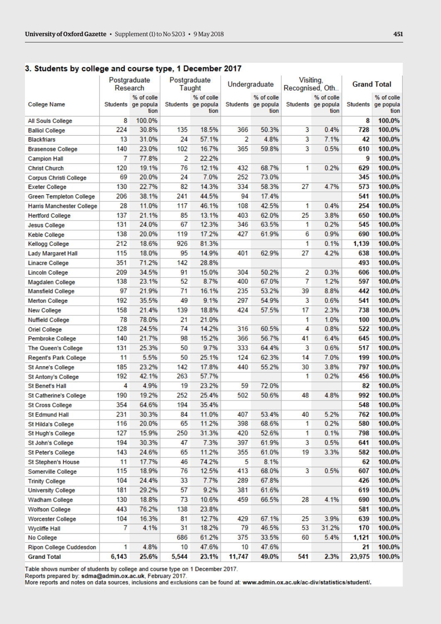#### 3. Students by college and course type, 1 December 2017

|                                  |       | Postgraduate<br>Research                 |       | Postgraduate                             | Undergraduate |                                          | Visiting,<br>Recognised, Oth |                                          |          | <b>Grand Total</b>              |
|----------------------------------|-------|------------------------------------------|-------|------------------------------------------|---------------|------------------------------------------|------------------------------|------------------------------------------|----------|---------------------------------|
|                                  |       |                                          |       | Taught                                   |               |                                          |                              |                                          |          |                                 |
| <b>College Name</b>              |       | % of colle<br>Students ge popula<br>tion |       | % of colle<br>Students ge popula<br>tion |               | % of colle<br>Students ge popula<br>tion |                              | % of colle<br>Students ge popula<br>tion | Students | % of colle<br>ge popula<br>tion |
| All Souls College                | 8     | 100.0%                                   |       |                                          |               |                                          |                              |                                          | 8        | 100.0%                          |
| <b>Balliol College</b>           | 224   | 30.8%                                    | 135   | 18.5%                                    | 366           | 50.3%                                    | 3                            | 0.4%                                     | 728      | 100.0%                          |
| <b>Blackfriars</b>               | 13    | 31.0%                                    | 24    | 57.1%                                    | 2             | 4.8%                                     | 3                            | 7.1%                                     | 42       | 100.0%                          |
| <b>Brasenose College</b>         | 140   | 23.0%                                    | 102   | 16.7%                                    | 365           | 59.8%                                    | 3                            | 0.5%                                     | 610      | 100.0%                          |
| <b>Campion Hall</b>              | 7     | 77.8%                                    | 2     | 22.2%                                    |               |                                          |                              |                                          | 9        | 100.0%                          |
| <b>Christ Church</b>             | 120   | 19.1%                                    | 76    | 12.1%                                    | 432           | 68.7%                                    | 1                            | 0.2%                                     | 629      | 100.0%                          |
| <b>Corpus Christi College</b>    | 69    | 20.0%                                    | 24    | 7.0%                                     | 252           | 73.0%                                    |                              |                                          | 345      | 100.0%                          |
| <b>Exeter College</b>            | 130   | 22.7%                                    | 82    | 14.3%                                    | 334           | 58.3%                                    | 27                           | 4.7%                                     | 573      | 100.0%                          |
| <b>Green Templeton College</b>   | 206   | 38.1%                                    | 241   | 44.5%                                    | 94            | 17.4%                                    |                              |                                          | 541      | 100.0%                          |
| <b>Harris Manchester College</b> | 28    | 11.0%                                    | 117   | 46.1%                                    | 108           | 42.5%                                    | 1                            | 0.4%                                     | 254      | 100.0%                          |
| <b>Hertford College</b>          | 137   | 21.1%                                    | 85    | 13.1%                                    | 403           | 62.0%                                    | 25                           | 3.8%                                     | 650      | 100.0%                          |
| <b>Jesus College</b>             | 131   | 24.0%                                    | 67    | 12.3%                                    | 346           | 63.5%                                    | 1                            | 0.2%                                     | 545      | 100.0%                          |
| <b>Keble College</b>             | 138   | 20.0%                                    | 119   | 17.2%                                    | 427           | 61.9%                                    | 6                            | 0.9%                                     | 690      | 100.0%                          |
| <b>Kellogg College</b>           | 212   | 18.6%                                    | 926   | 81.3%                                    |               |                                          | 1                            | 0.1%                                     | 1,139    | 100.0%                          |
| <b>Lady Margaret Hall</b>        | 115   | 18.0%                                    | 95    | 14.9%                                    | 401           | 62.9%                                    | 27                           | 4.2%                                     | 638      | 100.0%                          |
| <b>Linacre College</b>           | 351   | 71.2%                                    | 142   | 28.8%                                    |               |                                          |                              |                                          | 493      | 100.0%                          |
| <b>Lincoln College</b>           | 209   | 34.5%                                    | 91    | 15.0%                                    | 304           | 50.2%                                    | 2                            | 0.3%                                     | 606      | 100.0%                          |
| <b>Magdalen College</b>          | 138   | 23.1%                                    | 52    | 8.7%                                     | 400           | 67.0%                                    | 7                            | 1.2%                                     | 597      | 100.0%                          |
| <b>Mansfield College</b>         | 97    | 21.9%                                    | 71    | 16.1%                                    | 235           | 53.2%                                    | 39                           | 8.8%                                     | 442      | 100.0%                          |
| <b>Merton College</b>            | 192   | 35.5%                                    | 49    | 9.1%                                     | 297           | 54.9%                                    | 3                            | 0.6%                                     | 541      | 100.0%                          |
| <b>New College</b>               | 158   | 21.4%                                    | 139   | 18.8%                                    | 424           | 57.5%                                    | 17                           | 2.3%                                     | 738      | 100.0%                          |
| <b>Nuffield College</b>          | 78    | 78.0%                                    | 21    | 21.0%                                    |               |                                          | 1                            | 1.0%                                     | 100      | 100.0%                          |
| <b>Oriel College</b>             | 128   | 24.5%                                    | 74    | 14.2%                                    | 316           | 60.5%                                    | 4                            | 0.8%                                     | 522      | 100.0%                          |
| Pembroke College                 | 140   | 21.7%                                    | 98    | 15.2%                                    | 366           | 56.7%                                    | 41                           | 6.4%                                     | 645      | 100.0%                          |
| The Queen's College              | 131   | 25.3%                                    | 50    | 9.7%                                     | 333           | 64.4%                                    | 3                            | 0.6%                                     | 517      | 100.0%                          |
| <b>Regent's Park College</b>     | 11    | 5.5%                                     | 50    | 25.1%                                    | 124           | 62.3%                                    | 14                           | 7.0%                                     | 199      | 100.0%                          |
| <b>St Anne's College</b>         | 185   | 23.2%                                    | 142   | 17.8%                                    | 440           | 55.2%                                    | 30                           | 3.8%                                     | 797      | 100.0%                          |
| <b>St Antony's College</b>       | 192   | 42.1%                                    | 263   | 57.7%                                    |               |                                          | 1                            | 0.2%                                     | 456      | 100.0%                          |
| <b>St Benet's Hall</b>           | 4     | 4.9%                                     | 19    | 23.2%                                    | 59            | 72.0%                                    |                              |                                          | 82       | 100.0%                          |
| <b>St Catherine's College</b>    | 190   | 19.2%                                    | 252   | 25.4%                                    | 502           | 50.6%                                    | 48                           | 4.8%                                     | 992      | 100.0%                          |
| <b>St Cross College</b>          | 354   | 64.6%                                    | 194   | 35.4%                                    |               |                                          |                              |                                          | 548      | 100.0%                          |
| <b>St Edmund Hall</b>            | 231   | 30.3%                                    | 84    | 11.0%                                    | 407           | 53.4%                                    | 40                           | 5.2%                                     | 762      | 100.0%                          |
| St Hilda's College               | 116   | 20.0%                                    | 65    | 11.2%                                    | 398           | 68.6%                                    | 1                            | 0.2%                                     | 580      | 100.0%                          |
| St Hugh's College                | 127   | 15.9%                                    | 250   | 31.3%                                    | 420           | 52.6%                                    | 1                            | 0.1%                                     | 798      | 100.0%                          |
| St John's College                | 194   | 30.3%                                    | 47    | 7.3%                                     | 397           | 61.9%                                    | 3                            | 0.5%                                     | 641      | 100.0%                          |
| St Peter's College               | 143   | 24.6%                                    | 65    | 11.2%                                    | 355           | 61.0%                                    | 19                           | 3.3%                                     | 582      | 100.0%                          |
| <b>St Stephen's House</b>        | 11    | 17.7%                                    | 46    | 74.2%                                    | 5             | 8.1%                                     |                              |                                          | 62       | 100.0%                          |
| Somerville College               | 115   | 18.9%                                    | 76    | 12.5%                                    | 413           | 68.0%                                    | 3                            | 0.5%                                     | 607      | 100.0%                          |
| <b>Trinity College</b>           | 104   | 24.4%                                    | 33    | 7.7%                                     | 289           | 67.8%                                    |                              |                                          | 426      | 100.0%                          |
| <b>University College</b>        | 181   | 29.2%                                    | 57    | 9.2%                                     | 381           | 61.6%                                    |                              |                                          | 619      | 100.0%                          |
| <b>Wadham College</b>            | 130   | 18.8%                                    | 73    | 10.6%                                    | 459           | 66.5%                                    | 28                           | 4.1%                                     | 690      | 100.0%                          |
| <b>Wolfson College</b>           | 443   | 76.2%                                    | 138   | 23.8%                                    |               |                                          |                              |                                          | 581      | 100.0%                          |
| Worcester College                | 104   | 16.3%                                    | 81    | 12.7%                                    | 429           | 67.1%                                    | 25                           | 3.9%                                     | 639      | 100.0%                          |
| <b>Wycliffe Hall</b>             | 7     | 4.1%                                     | 31    | 18.2%                                    | 79            | 46.5%                                    | 53                           | 31.2%                                    | 170      | 100.0%                          |
| No College                       |       |                                          | 686   | 61.2%                                    | 375           | 33.5%                                    | 60                           | 5.4%                                     | 1,121    | 100.0%                          |
| <b>Ripon College Cuddesdon</b>   | 1     | 4.8%                                     | 10    | 47.6%                                    | 10            | 47.6%                                    |                              |                                          | 21       | 100.0%                          |
| <b>Grand Total</b>               | 6,143 | 25.6%                                    | 5,544 | 23.1%                                    | 11,747        | 49.0%                                    | 541                          | 2.3%                                     | 23,975   | 100.0%                          |
|                                  |       |                                          |       |                                          |               |                                          |                              |                                          |          |                                 |

Table shows number of students by college and course type on 1 December 2017.

Reports prepared by: sdma@admin.ox.ac.uk, February 2017.

More reports and notes on data sources, inclusions and exclusions can be found at: www.admin.ox.ac.uk/ac-div/statistics/student/.